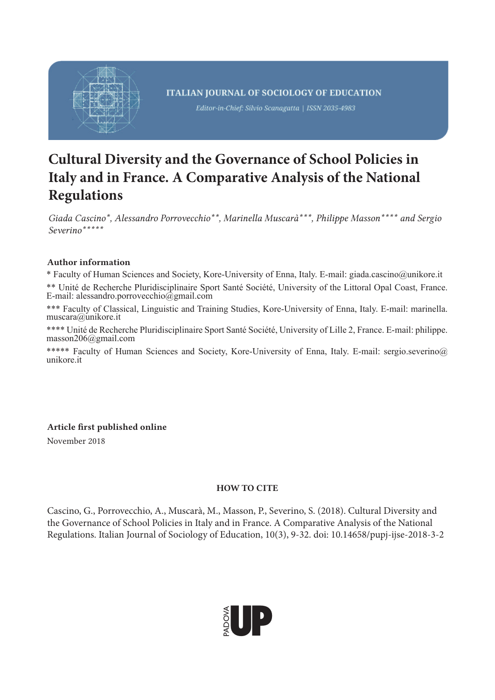

# **Cultural Diversity and the Governance of School Policies in Italy and in France. A Comparative Analysis of the National Regulations**

*Giada Cascino\*, Alessandro Porrovecchio\*\*, Marinella Muscarà\*\*\*, Philippe Masson\*\*\*\* and Sergio Severino\*\*\*\*\**

## Author information

\* Faculty of Human Sciences and Society, Kore-University of Enna, Italy. E-mail: giada.cascino@unikore.it

\*\* Unité de Recherche Pluridisciplinaire Sport Santé Société, University of the Littoral Opal Coast, France. E-mail: alessandro.porrovecchio@gmail.com

\*\*\* Faculty of Classical, Linguistic and Training Studies, Kore-University of Enna, Italy. E-mail: marinella. muscara@unikore.it

\*\*\*\* Unité de Recherche Pluridisciplinaire Sport Santé Société, University of Lille 2, France. E-mail: philippe. masson206@gmail.com

\*\*\*\*\* Faculty of Human Sciences and Society, Kore-University of Enna, Italy. E-mail: sergio.severino@ unikore.it

# Article first published online

November 2018

## HOW TO CITE

Cascino, G., Porrovecchio, A., Muscarà, M., Masson, P., Severino, S. (2018). Cultural Diversity and the Governance of School Policies in Italy and in France. A Comparative Analysis of the National Regulations. Italian Journal of Sociology of Education, 10(3), 9-32. doi: 10.14658/pupj-ijse-2018-3-2

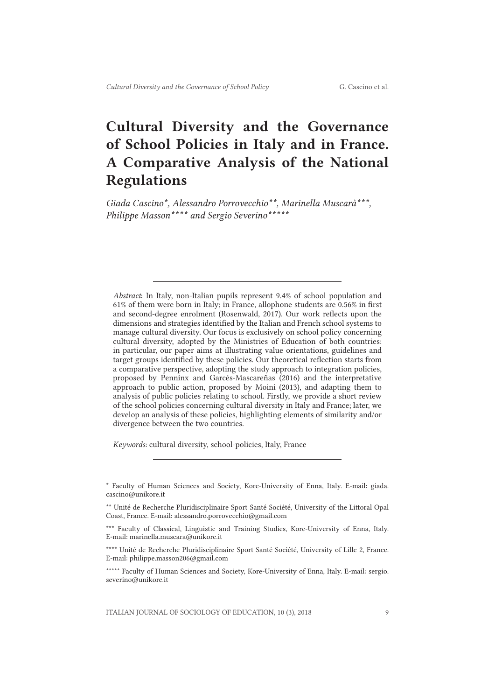# Cultural Diversity and the Governance of School Policies in Italy and in France. A Comparative Analysis of the National Regulations

*Giada Cascino\*, Alessandro Porrovecchio\*\*, Marinella Muscarà\*\*\*, Philippe Masson\*\*\*\* and Sergio Severino\*\*\*\*\**

*Abstract*: In Italy, non-Italian pupils represent 9.4% of school population and 61% of them were born in Italy; in France, allophone students are 0.56% in first and second-degree enrolment (Rosenwald, 2017). Our work reflects upon the dimensions and strategies identified by the Italian and French school systems to manage cultural diversity. Our focus is exclusively on school policy concerning cultural diversity, adopted by the Ministries of Education of both countries: in particular, our paper aims at illustrating value orientations, guidelines and target groups identified by these policies. Our theoretical reflection starts from a comparative perspective, adopting the study approach to integration policies, proposed by Penninx and Garcés-Mascareñas (2016) and the interpretative approach to public action, proposed by Moini (2013), and adapting them to analysis of public policies relating to school. Firstly, we provide a short review of the school policies concerning cultural diversity in Italy and France; later, we develop an analysis of these policies, highlighting elements of similarity and/or divergence between the two countries.

*Keywords:* cultural diversity, school-policies, Italy, France

<sup>\*</sup> Faculty of Human Sciences and Society, Kore-University of Enna, Italy. E-mail: giada. cascino@unikore.it

<sup>\*\*</sup> Unité de Recherche Pluridisciplinaire Sport Santé Société, University of the Littoral Opal Coast, France. E-mail: alessandro.porrovecchio@gmail.com

<sup>\*\*\*</sup> Faculty of Classical, Linguistic and Training Studies, Kore-University of Enna, Italy. E-mail: marinella.muscara@unikore.it

<sup>\*\*\*\*</sup> Unité de Recherche Pluridisciplinaire Sport Santé Société, University of Lille 2, France. E-mail: philippe.masson206@gmail.com

<sup>\*\*\*\*\*</sup> Faculty of Human Sciences and Society, Kore-University of Enna, Italy. E-mail: sergio. severino@unikore.it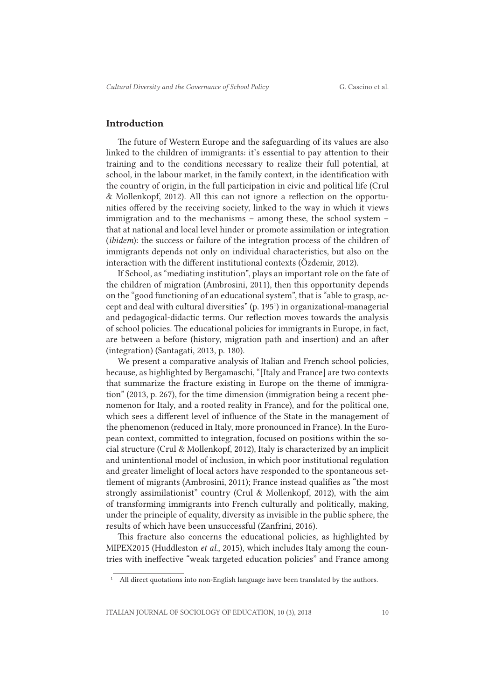#### Introduction

The future of Western Europe and the safeguarding of its values are also linked to the children of immigrants: it's essential to pay attention to their training and to the conditions necessary to realize their full potential, at school, in the labour market, in the family context, in the identification with the country of origin, in the full participation in civic and political life (Crul & Mollenkopf, 2012). All this can not ignore a reflection on the opportunities offered by the receiving society, linked to the way in which it views immigration and to the mechanisms – among these, the school system – that at national and local level hinder or promote assimilation or integration (*ibidem*): the success or failure of the integration process of the children of immigrants depends not only on individual characteristics, but also on the interaction with the different institutional contexts (Ӧzdemir, 2012).

If School, as "mediating institution", plays an important role on the fate of the children of migration (Ambrosini, 2011), then this opportunity depends on the "good functioning of an educational system", that is "able to grasp, accept and deal with cultural diversities" (p. 1951 ) in organizational-managerial and pedagogical-didactic terms. Our reflection moves towards the analysis of school policies. The educational policies for immigrants in Europe, in fact, are between a before (history, migration path and insertion) and an after (integration) (Santagati, 2013, p. 180).

We present a comparative analysis of Italian and French school policies, because, as highlighted by Bergamaschi, "[Italy and France] are two contexts that summarize the fracture existing in Europe on the theme of immigration" (2013, p. 267), for the time dimension (immigration being a recent phenomenon for Italy, and a rooted reality in France), and for the political one, which sees a different level of influence of the State in the management of the phenomenon (reduced in Italy, more pronounced in France). In the European context, committed to integration, focused on positions within the social structure (Crul & Mollenkopf, 2012), Italy is characterized by an implicit and unintentional model of inclusion, in which poor institutional regulation and greater limelight of local actors have responded to the spontaneous settlement of migrants (Ambrosini, 2011); France instead qualifies as "the most strongly assimilationist" country (Crul & Mollenkopf, 2012), with the aim of transforming immigrants into French culturally and politically, making, under the principle of equality, diversity as invisible in the public sphere, the results of which have been unsuccessful (Zanfrini, 2016).

This fracture also concerns the educational policies, as highlighted by MIPEX2015 (Huddleston *et al*., 2015), which includes Italy among the countries with ineffective "weak targeted education policies" and France among

<sup>&</sup>lt;sup>1</sup> All direct quotations into non-English language have been translated by the authors.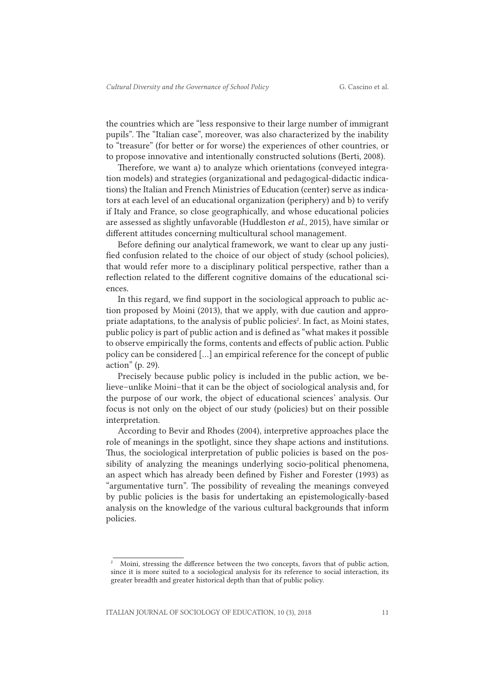the countries which are "less responsive to their large number of immigrant pupils". The "Italian case", moreover, was also characterized by the inability to "treasure" (for better or for worse) the experiences of other countries, or to propose innovative and intentionally constructed solutions (Berti, 2008).

Therefore, we want a) to analyze which orientations (conveyed integration models) and strategies (organizational and pedagogical-didactic indications) the Italian and French Ministries of Education (center) serve as indicators at each level of an educational organization (periphery) and b) to verify if Italy and France, so close geographically, and whose educational policies are assessed as slightly unfavorable (Huddleston *et al*., 2015), have similar or different attitudes concerning multicultural school management.

Before defining our analytical framework, we want to clear up any justified confusion related to the choice of our object of study (school policies), that would refer more to a disciplinary political perspective, rather than a reflection related to the different cognitive domains of the educational sciences.

In this regard, we find support in the sociological approach to public action proposed by Moini (2013), that we apply, with due caution and appropriate adaptations, to the analysis of public policies<sup>2</sup>. In fact, as Moini states, public policy is part of public action and is defined as "what makes it possible to observe empirically the forms, contents and effects of public action. Public policy can be considered [...] an empirical reference for the concept of public action" (p. 29).

Precisely because public policy is included in the public action, we believe–unlike Moini–that it can be the object of sociological analysis and, for the purpose of our work, the object of educational sciences' analysis. Our focus is not only on the object of our study (policies) but on their possible interpretation.

According to Bevir and Rhodes (2004), interpretive approaches place the role of meanings in the spotlight, since they shape actions and institutions. Thus, the sociological interpretation of public policies is based on the possibility of analyzing the meanings underlying socio-political phenomena, an aspect which has already been defined by Fisher and Forester (1993) as "argumentative turn". The possibility of revealing the meanings conveyed by public policies is the basis for undertaking an epistemologically-based analysis on the knowledge of the various cultural backgrounds that inform policies.

<sup>&</sup>lt;sup>2</sup> Moini, stressing the difference between the two concepts, favors that of public action, since it is more suited to a sociological analysis for its reference to social interaction, its greater breadth and greater historical depth than that of public policy.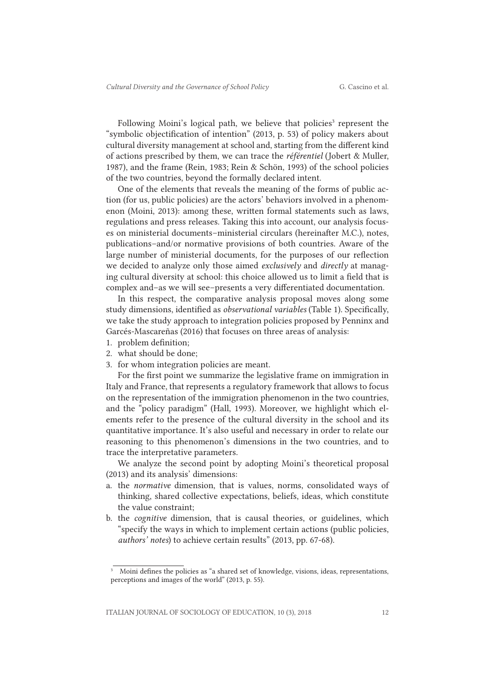Following Moini's logical path, we believe that policies<sup>3</sup> represent the "symbolic objectification of intention" (2013, p. 53) of policy makers about cultural diversity management at school and, starting from the different kind of actions prescribed by them, we can trace the *référentiel* (Jobert & Muller, 1987), and the frame (Rein, 1983; Rein & Schön, 1993) of the school policies of the two countries, beyond the formally declared intent.

One of the elements that reveals the meaning of the forms of public action (for us, public policies) are the actors' behaviors involved in a phenomenon (Moini, 2013): among these, written formal statements such as laws, regulations and press releases. Taking this into account, our analysis focuses on ministerial documents–ministerial circulars (hereinafter M.C.), notes, publications–and/or normative provisions of both countries. Aware of the large number of ministerial documents, for the purposes of our reflection we decided to analyze only those aimed *exclusively* and *directly* at managing cultural diversity at school: this choice allowed us to limit a field that is complex and–as we will see–presents a very differentiated documentation.

In this respect, the comparative analysis proposal moves along some study dimensions, identified as *observational variables* (Table 1). Specifically, we take the study approach to integration policies proposed by Penninx and Garcés-Mascareñas (2016) that focuses on three areas of analysis:

- 1. problem definition;
- 2. what should be done;
- 3. for whom integration policies are meant.

For the first point we summarize the legislative frame on immigration in Italy and France, that represents a regulatory framework that allows to focus on the representation of the immigration phenomenon in the two countries, and the "policy paradigm" (Hall, 1993). Moreover, we highlight which elements refer to the presence of the cultural diversity in the school and its quantitative importance. It's also useful and necessary in order to relate our reasoning to this phenomenon's dimensions in the two countries, and to trace the interpretative parameters.

We analyze the second point by adopting Moini's theoretical proposal (2013) and its analysis' dimensions:

- a. the *normative* dimension, that is values, norms, consolidated ways of thinking, shared collective expectations, beliefs, ideas, which constitute the value constraint;
- b. the *cognitive* dimension, that is causal theories, or guidelines, which "specify the ways in which to implement certain actions (public policies, *authors' notes*) to achieve certain results" (2013, pp. 67-68).

<sup>3</sup> Moini defines the policies as "a shared set of knowledge, visions, ideas, representations, perceptions and images of the world" (2013, p. 55).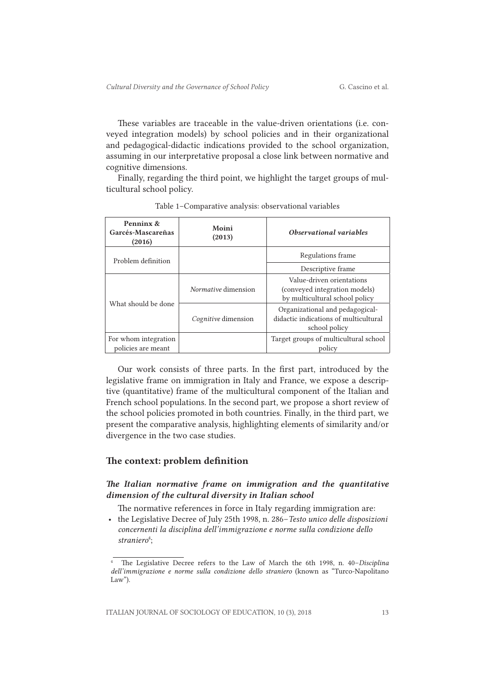These variables are traceable in the value-driven orientations (i.e. conveyed integration models) by school policies and in their organizational and pedagogical-didactic indications provided to the school organization, assuming in our interpretative proposal a close link between normative and cognitive dimensions.

Finally, regarding the third point, we highlight the target groups of multicultural school policy.

|  | Penninx &<br>Garcés-Mascareñas<br>(2016)   | Moini<br>(2013)     | Observational variables                                                                      |  |
|--|--------------------------------------------|---------------------|----------------------------------------------------------------------------------------------|--|
|  | Problem definition                         |                     | Regulations frame                                                                            |  |
|  |                                            |                     | Descriptive frame                                                                            |  |
|  | What should be done                        | Normative dimension | Value-driven orientations<br>(conveyed integration models)<br>by multicultural school policy |  |
|  |                                            | Cognitive dimension | Organizational and pedagogical-<br>didactic indications of multicultural<br>school policy    |  |
|  | For whom integration<br>policies are meant |                     | Target groups of multicultural school<br>policy                                              |  |

Table 1–Comparative analysis: observational variables

Our work consists of three parts. In the first part, introduced by the legislative frame on immigration in Italy and France, we expose a descriptive (quantitative) frame of the multicultural component of the Italian and French school populations. In the second part, we propose a short review of the school policies promoted in both countries. Finally, in the third part, we present the comparative analysis, highlighting elements of similarity and/or divergence in the two case studies.

#### The context: problem definition

## *The Italian normative frame on immigration and the quantitative dimension of the cultural diversity in Italian school*

The normative references in force in Italy regarding immigration are:

• the Legislative Decree of July 25th 1998, n. 286–*Testo unico delle disposizioni concernenti la disciplina dell'immigrazione e norme sulla condizione dello*  straniero<sup>4</sup>;

<sup>4</sup> The Legislative Decree refers to the Law of March the 6th 1998, n. 40–*Disciplina dell'immigrazione e norme sulla condizione dello straniero* (known as "Turco-Napolitano Law").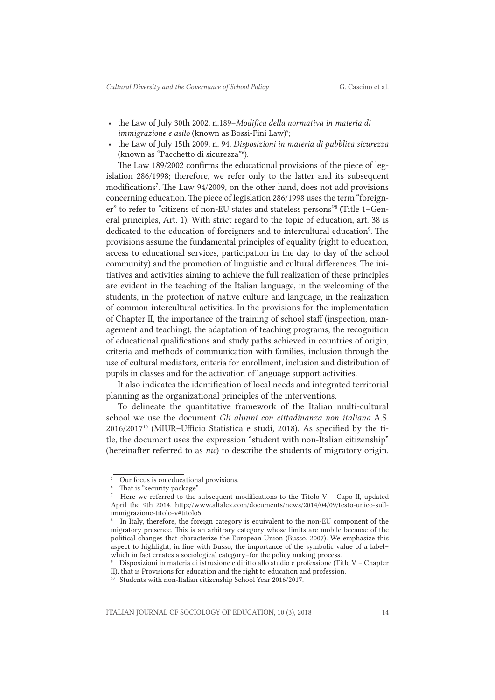- the Law of July 30th 2002, n.189–*Modifica della normativa in materia di*  immigrazione e asilo (known as Bossi-Fini Law)<sup>5</sup>;
- the Law of July 15th 2009, n. 94, *Disposizioni in materia di pubblica sicurezza* (known as "Pacchetto di sicurezza"6 ).

The Law 189/2002 confirms the educational provisions of the piece of legislation 286/1998; therefore, we refer only to the latter and its subsequent modifications7 . The Law 94/2009, on the other hand, does not add provisions concerning education. The piece of legislation 286/1998 uses the term "foreigner" to refer to "citizens of non-EU states and stateless persons"8 (Title 1–General principles, Art. 1). With strict regard to the topic of education, art. 38 is dedicated to the education of foreigners and to intercultural education<sup>9</sup>. The provisions assume the fundamental principles of equality (right to education, access to educational services, participation in the day to day of the school community) and the promotion of linguistic and cultural differences. The initiatives and activities aiming to achieve the full realization of these principles are evident in the teaching of the Italian language, in the welcoming of the students, in the protection of native culture and language, in the realization of common intercultural activities. In the provisions for the implementation of Chapter II, the importance of the training of school staff (inspection, management and teaching), the adaptation of teaching programs, the recognition of educational qualifications and study paths achieved in countries of origin, criteria and methods of communication with families, inclusion through the use of cultural mediators, criteria for enrollment, inclusion and distribution of pupils in classes and for the activation of language support activities.

It also indicates the identification of local needs and integrated territorial planning as the organizational principles of the interventions.

To delineate the quantitative framework of the Italian multi-cultural school we use the document *Gli alunni con cittadinanza non italiana* A.S. 2016/201710 (MIUR–Ufficio Statistica e studi, 2018). As specified by the title, the document uses the expression "student with non-Italian citizenship" (hereinafter referred to as *nic*) to describe the students of migratory origin.

<sup>5</sup> Our focus is on educational provisions.

<sup>6</sup> That is "security package".

<sup>&</sup>lt;sup>7</sup> Here we referred to the subsequent modifications to the Titolo V – Capo II, updated April the 9th 2014. http://www.altalex.com/documents/news/2014/04/09/testo-unico-sullimmigrazione-titolo-v#titolo5

<sup>&</sup>lt;sup>8</sup> In Italy, therefore, the foreign category is equivalent to the non-EU component of the migratory presence. This is an arbitrary category whose limits are mobile because of the political changes that characterize the European Union (Busso, 2007). We emphasize this aspect to highlight, in line with Busso, the importance of the symbolic value of a label– which in fact creates a sociological category–for the policy making process.

<sup>9</sup> Disposizioni in materia di istruzione e diritto allo studio e professione (Title V – Chapter II), that is Provisions for education and the right to education and profession.

<sup>&</sup>lt;sup>10</sup> Students with non-Italian citizenship School Year 2016/2017.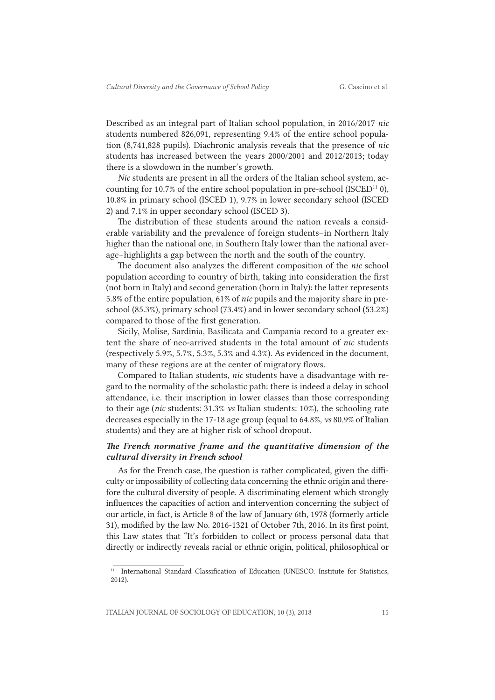Described as an integral part of Italian school population, in 2016/2017 *nic* students numbered 826,091, representing 9.4% of the entire school population (8,741,828 pupils). Diachronic analysis reveals that the presence of *nic* students has increased between the years 2000/2001 and 2012/2013; today there is a slowdown in the number's growth.

*Nic* students are present in all the orders of the Italian school system, accounting for 10.7% of the entire school population in pre-school (ISCED<sup>11</sup> 0), 10.8% in primary school (ISCED 1), 9.7% in lower secondary school (ISCED 2) and 7.1% in upper secondary school (ISCED 3).

The distribution of these students around the nation reveals a considerable variability and the prevalence of foreign students–in Northern Italy higher than the national one, in Southern Italy lower than the national average–highlights a gap between the north and the south of the country.

The document also analyzes the different composition of the *nic* school population according to country of birth, taking into consideration the first (not born in Italy) and second generation (born in Italy): the latter represents 5.8% of the entire population, 61% of *nic* pupils and the majority share in preschool (85.3%), primary school (73.4%) and in lower secondary school (53.2%) compared to those of the first generation.

Sicily, Molise, Sardinia, Basilicata and Campania record to a greater extent the share of neo-arrived students in the total amount of *nic* students (respectively 5.9%, 5.7%, 5.3%, 5.3% and 4.3%). As evidenced in the document, many of these regions are at the center of migratory flows.

Compared to Italian students, *nic* students have a disadvantage with regard to the normality of the scholastic path: there is indeed a delay in school attendance, i.e. their inscription in lower classes than those corresponding to their age (*nic* students: 31.3% *vs* Italian students: 10%), the schooling rate decreases especially in the 17-18 age group (equal to 64.8%, *vs* 80.9% of Italian students) and they are at higher risk of school dropout.

## *The French normative frame and the quantitative dimension of the cultural diversity in French school*

As for the French case, the question is rather complicated, given the difficulty or impossibility of collecting data concerning the ethnic origin and therefore the cultural diversity of people. A discriminating element which strongly influences the capacities of action and intervention concerning the subject of our article, in fact, is Article 8 of the law of January 6th, 1978 (formerly article 31), modified by the law No. 2016-1321 of October 7th, 2016. In its first point, this Law states that "It's forbidden to collect or process personal data that directly or indirectly reveals racial or ethnic origin, political, philosophical or

<sup>&</sup>lt;sup>11</sup> International Standard Classification of Education (UNESCO. Institute for Statistics, 2012).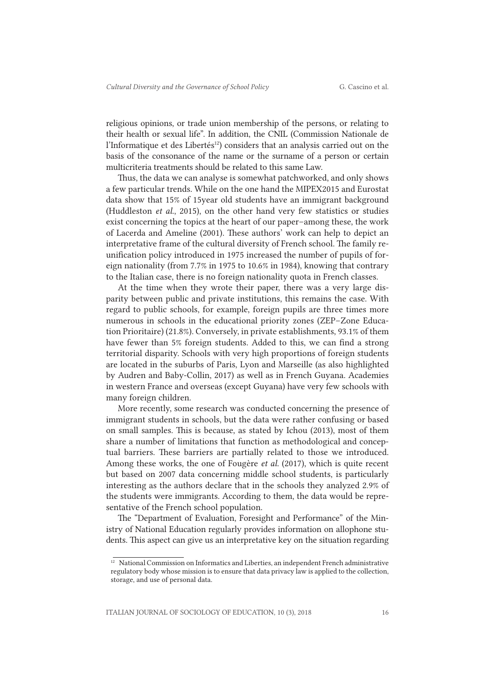religious opinions, or trade union membership of the persons, or relating to their health or sexual life". In addition, the CNIL (Commission Nationale de l'Informatique et des Libertés<sup>12</sup>) considers that an analysis carried out on the basis of the consonance of the name or the surname of a person or certain multicriteria treatments should be related to this same Law.

Thus, the data we can analyse is somewhat patchworked, and only shows a few particular trends. While on the one hand the MIPEX2015 and Eurostat data show that 15% of 15year old students have an immigrant background (Huddleston *et al*., 2015), on the other hand very few statistics or studies exist concerning the topics at the heart of our paper–among these, the work of Lacerda and Ameline (2001). These authors' work can help to depict an interpretative frame of the cultural diversity of French school. The family reunification policy introduced in 1975 increased the number of pupils of foreign nationality (from 7.7% in 1975 to 10.6% in 1984), knowing that contrary to the Italian case, there is no foreign nationality quota in French classes.

At the time when they wrote their paper, there was a very large disparity between public and private institutions, this remains the case. With regard to public schools, for example, foreign pupils are three times more numerous in schools in the educational priority zones (ZEP–Zone Education Prioritaire) (21.8%). Conversely, in private establishments, 93.1% of them have fewer than 5% foreign students. Added to this, we can find a strong territorial disparity. Schools with very high proportions of foreign students are located in the suburbs of Paris, Lyon and Marseille (as also highlighted by Audren and Baby-Collin, 2017) as well as in French Guyana. Academies in western France and overseas (except Guyana) have very few schools with many foreign children.

More recently, some research was conducted concerning the presence of immigrant students in schools, but the data were rather confusing or based on small samples. This is because, as stated by Ichou (2013), most of them share a number of limitations that function as methodological and conceptual barriers. These barriers are partially related to those we introduced. Among these works, the one of Fougère *et al.* (2017), which is quite recent but based on 2007 data concerning middle school students, is particularly interesting as the authors declare that in the schools they analyzed 2.9% of the students were immigrants. According to them, the data would be representative of the French school population.

The "Department of Evaluation, Foresight and Performance" of the Ministry of National Education regularly provides information on allophone students. This aspect can give us an interpretative key on the situation regarding

<sup>&</sup>lt;sup>12</sup> National Commission on Informatics and Liberties, an independent French administrative regulatory body whose mission is to ensure that data privacy law is applied to the collection, storage, and use of personal data.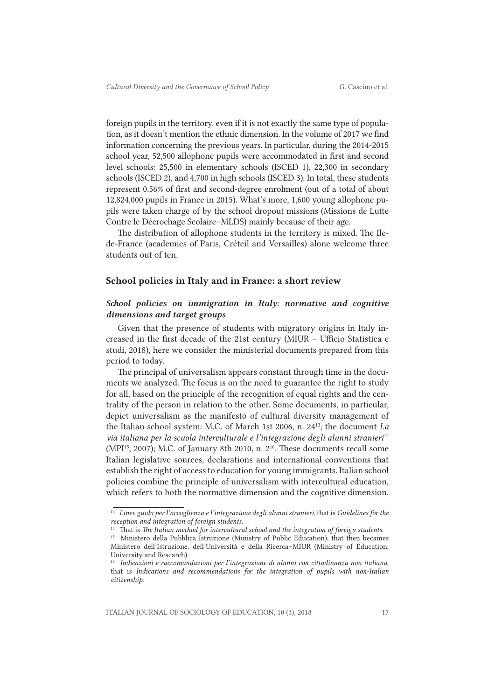foreign pupils in the territory, even if it is not exactly the same type of population, as it doesn't mention the ethnic dimension. In the volume of 2017 we find information concerning the previous years. In particular, during the 2014-2015 school year, 52,500 allophone pupils were accommodated in first and second level schools: 25,500 in elementary schools (ISCED 1), 22,300 in secondary schools (ISCED 2), and 4,700 in high schools (ISCED 3). In total, these students represent 0.56% of first and second-degree enrolment (out of a total of about 12,824,000 pupils in France in 2015). What's more, 1,600 young allophone pupils were taken charge of by the school dropout missions (Missions de Lutte Contre le Décrochage Scolaire–MLDS) mainly because of their age.

The distribution of allophone students in the territory is mixed. The Ilede-France (academies of Paris, Créteil and Versailles) alone welcome three students out of ten.

#### School policies in Italy and in France: a short review

#### *School policies on immigration in Italy: normative and cognitive dimensions and target groups*

Given that the presence of students with migratory origins in Italy increased in the first decade of the 21st century (MIUR – Ufficio Statistica e studi, 2018), here we consider the ministerial documents prepared from this period to today.

The principal of universalism appears constant through time in the documents we analyzed. The focus is on the need to guarantee the right to study for all, based on the principle of the recognition of equal rights and the centrality of the person in relation to the other. Some documents, in particular, depict universalism as the manifesto of cultural diversity management of the Italian school system: M.C. of March 1st 2006, n. 2413*;* the document *La via italiana per la scuola interculturale e l'integrazione degli alunni stranieri*<sup>14</sup> (MPI<sup>15</sup>, 2007); M.C. of January 8th 2010, n.  $2^{16}$ . These documents recall some Italian legislative sources, declarations and international conventions that establish the right of access to education for young immigrants. Italian school policies combine the principle of universalism with intercultural education, which refers to both the normative dimension and the cognitive dimension.

<sup>13</sup> *Linee guida per l'accoglienza e l'integrazione degli alunni stranieri*, that is *Guidelines for the reception and integration of foreign students*.

<sup>14</sup> That is *The Italian method for intercultural school and the integration of foreign students*.

<sup>&</sup>lt;sup>15</sup> Ministero della Pubblica Istruzione (Ministry of Public Education), that then becames Ministero dell'Istruzione, dell'Università e della Ricerca–MIUR (Ministry of Education, University and Research).

<sup>16</sup> *Indicazioni e raccomandazioni per l'integrazione di alunni con cittadinanza non italiana*, that is *Indications and recommendations for the integration of pupils with non-Italian citizenship*.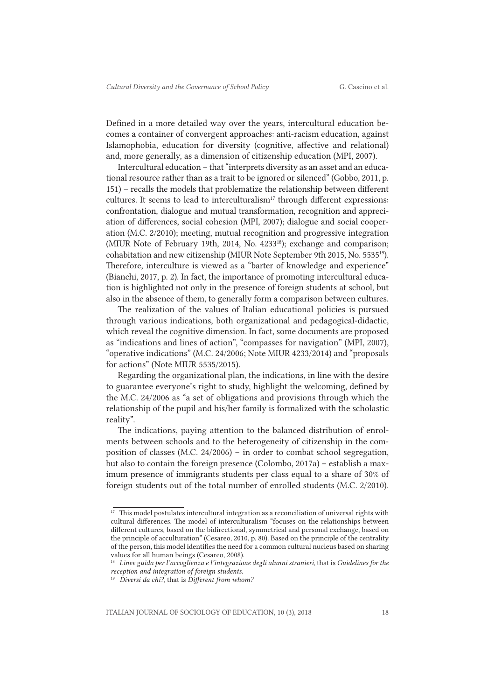Defined in a more detailed way over the years, intercultural education becomes a container of convergent approaches: anti-racism education, against Islamophobia, education for diversity (cognitive, affective and relational) and, more generally, as a dimension of citizenship education (MPI, 2007).

Intercultural education – that "interprets diversity as an asset and an educational resource rather than as a trait to be ignored or silenced" (Gobbo, 2011, p. 151) – recalls the models that problematize the relationship between different cultures. It seems to lead to interculturalism<sup>17</sup> through different expressions: confrontation, dialogue and mutual transformation, recognition and appreciation of differences, social cohesion (MPI, 2007); dialogue and social cooperation (M.C. 2/2010); meeting, mutual recognition and progressive integration (MIUR Note of February 19th, 2014, No. 4233<sup>18</sup>); exchange and comparison; cohabitation and new citizenship (MIUR Note September 9th 2015, No. 553519). Therefore, interculture is viewed as a "barter of knowledge and experience" (Bianchi, 2017, p. 2). In fact, the importance of promoting intercultural education is highlighted not only in the presence of foreign students at school, but also in the absence of them, to generally form a comparison between cultures.

The realization of the values of Italian educational policies is pursued through various indications, both organizational and pedagogical-didactic, which reveal the cognitive dimension. In fact, some documents are proposed as "indications and lines of action", "compasses for navigation" (MPI, 2007), "operative indications" (M.C. 24/2006; Note MIUR 4233/2014) and "proposals for actions" (Note MIUR 5535/2015).

Regarding the organizational plan, the indications, in line with the desire to guarantee everyone's right to study, highlight the welcoming, defined by the M.C. 24/2006 as "a set of obligations and provisions through which the relationship of the pupil and his/her family is formalized with the scholastic reality".

The indications, paying attention to the balanced distribution of enrolments between schools and to the heterogeneity of citizenship in the composition of classes (M.C. 24/2006) – in order to combat school segregation, but also to contain the foreign presence (Colombo, 2017a) – establish a maximum presence of immigrants students per class equal to a share of 30% of foreign students out of the total number of enrolled students (M.C. 2/2010).

 $17$  This model postulates intercultural integration as a reconciliation of universal rights with cultural differences. The model of interculturalism "focuses on the relationships between different cultures, based on the bidirectional, symmetrical and personal exchange, based on the principle of acculturation" (Cesareo, 2010, p. 80). Based on the principle of the centrality of the person, this model identifies the need for a common cultural nucleus based on sharing values for all human beings (Cesareo, 2008).

<sup>18</sup> *Linee guida per l'accoglienza e l'integrazione degli alunni stranieri*, that is *Guidelines for the reception and integration of foreign students.*

<sup>19</sup> *Diversi da chi?*, that is *Different from whom?*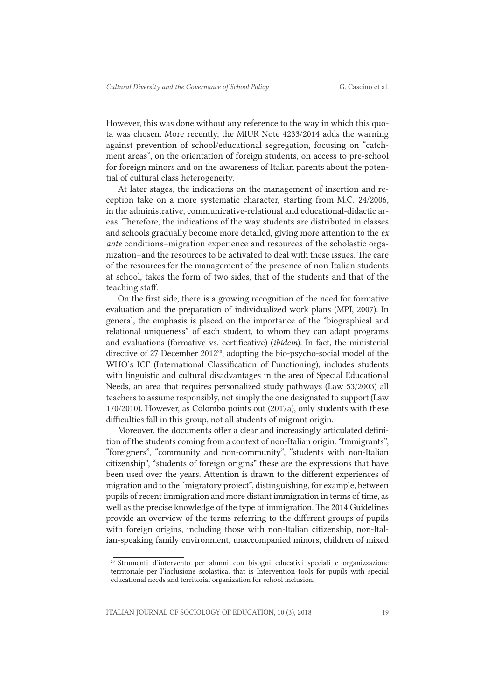However, this was done without any reference to the way in which this quota was chosen. More recently, the MIUR Note 4233/2014 adds the warning against prevention of school/educational segregation, focusing on "catchment areas", on the orientation of foreign students, on access to pre-school for foreign minors and on the awareness of Italian parents about the potential of cultural class heterogeneity.

At later stages, the indications on the management of insertion and reception take on a more systematic character, starting from M.C. 24/2006, in the administrative, communicative-relational and educational-didactic areas. Therefore, the indications of the way students are distributed in classes and schools gradually become more detailed, giving more attention to the *ex ante* conditions–migration experience and resources of the scholastic organization–and the resources to be activated to deal with these issues. The care of the resources for the management of the presence of non-Italian students at school, takes the form of two sides, that of the students and that of the teaching staff.

On the first side, there is a growing recognition of the need for formative evaluation and the preparation of individualized work plans (MPI, 2007). In general, the emphasis is placed on the importance of the "biographical and relational uniqueness" of each student, to whom they can adapt programs and evaluations (formative vs. certificative) (*ibidem*). In fact, the ministerial directive of 27 December 2012<sup>20</sup>, adopting the bio-psycho-social model of the WHO's ICF (International Classification of Functioning), includes students with linguistic and cultural disadvantages in the area of Special Educational Needs, an area that requires personalized study pathways (Law 53/2003) all teachers to assume responsibly, not simply the one designated to support (Law 170/2010). However, as Colombo points out (2017a), only students with these difficulties fall in this group, not all students of migrant origin.

Moreover, the documents offer a clear and increasingly articulated definition of the students coming from a context of non-Italian origin. "Immigrants", "foreigners", "community and non-community", "students with non-Italian citizenship", "students of foreign origins" these are the expressions that have been used over the years. Attention is drawn to the different experiences of migration and to the "migratory project", distinguishing, for example, between pupils of recent immigration and more distant immigration in terms of time, as well as the precise knowledge of the type of immigration. The 2014 Guidelines provide an overview of the terms referring to the different groups of pupils with foreign origins, including those with non-Italian citizenship, non-Italian-speaking family environment, unaccompanied minors, children of mixed

<sup>20</sup> Strumenti d'intervento per alunni con bisogni educativi speciali e organizzazione territoriale per l'inclusione scolastica, that is Intervention tools for pupils with special educational needs and territorial organization for school inclusion.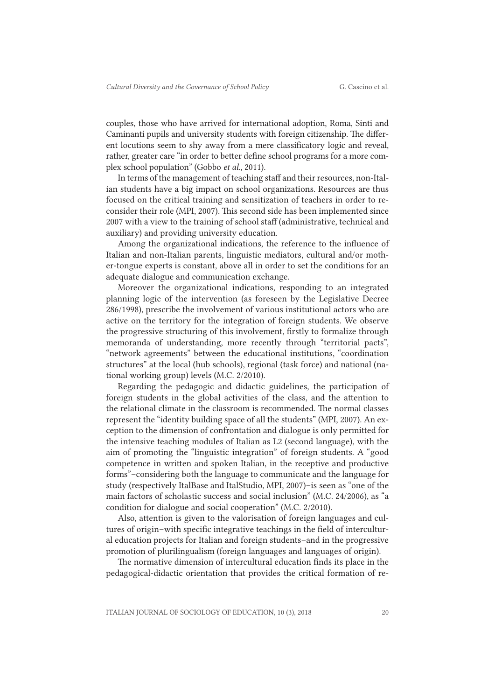couples, those who have arrived for international adoption, Roma, Sinti and Caminanti pupils and university students with foreign citizenship. The different locutions seem to shy away from a mere classificatory logic and reveal, rather, greater care "in order to better define school programs for a more complex school population" (Gobbo *et al*., 2011).

In terms of the management of teaching staff and their resources, non-Italian students have a big impact on school organizations. Resources are thus focused on the critical training and sensitization of teachers in order to reconsider their role (MPI, 2007). This second side has been implemented since 2007 with a view to the training of school staff (administrative, technical and auxiliary) and providing university education.

Among the organizational indications, the reference to the influence of Italian and non-Italian parents, linguistic mediators, cultural and/or mother-tongue experts is constant, above all in order to set the conditions for an adequate dialogue and communication exchange.

Moreover the organizational indications, responding to an integrated planning logic of the intervention (as foreseen by the Legislative Decree 286/1998), prescribe the involvement of various institutional actors who are active on the territory for the integration of foreign students. We observe the progressive structuring of this involvement, firstly to formalize through memoranda of understanding, more recently through "territorial pacts", "network agreements" between the educational institutions, "coordination structures" at the local (hub schools), regional (task force) and national (national working group) levels (M.C. 2/2010).

Regarding the pedagogic and didactic guidelines, the participation of foreign students in the global activities of the class, and the attention to the relational climate in the classroom is recommended. The normal classes represent the "identity building space of all the students" (MPI, 2007). An exception to the dimension of confrontation and dialogue is only permitted for the intensive teaching modules of Italian as L2 (second language), with the aim of promoting the "linguistic integration" of foreign students. A "good competence in written and spoken Italian, in the receptive and productive forms"–considering both the language to communicate and the language for study (respectively ItalBase and ItalStudio, MPI, 2007)–is seen as "one of the main factors of scholastic success and social inclusion" (M.C. 24/2006), as "a condition for dialogue and social cooperation" (M.C. 2/2010).

Also, attention is given to the valorisation of foreign languages and cultures of origin–with specific integrative teachings in the field of intercultural education projects for Italian and foreign students–and in the progressive promotion of plurilingualism (foreign languages and languages of origin).

The normative dimension of intercultural education finds its place in the pedagogical-didactic orientation that provides the critical formation of re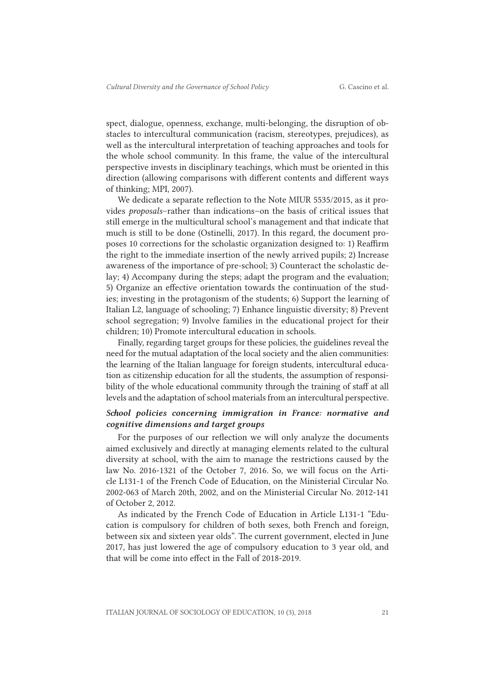spect, dialogue, openness, exchange, multi-belonging, the disruption of obstacles to intercultural communication (racism, stereotypes, prejudices), as well as the intercultural interpretation of teaching approaches and tools for the whole school community. In this frame, the value of the intercultural perspective invests in disciplinary teachings, which must be oriented in this direction (allowing comparisons with different contents and different ways of thinking; MPI, 2007).

We dedicate a separate reflection to the Note MIUR 5535/2015, as it provides *proposals*–rather than indications–on the basis of critical issues that still emerge in the multicultural school's management and that indicate that much is still to be done (Ostinelli, 2017). In this regard, the document proposes 10 corrections for the scholastic organization designed to: 1) Reaffirm the right to the immediate insertion of the newly arrived pupils; 2) Increase awareness of the importance of pre-school; 3) Counteract the scholastic delay; 4) Accompany during the steps; adapt the program and the evaluation; 5) Organize an effective orientation towards the continuation of the studies; investing in the protagonism of the students; 6) Support the learning of Italian L2, language of schooling; 7) Enhance linguistic diversity; 8) Prevent school segregation; 9) Involve families in the educational project for their children; 10) Promote intercultural education in schools.

Finally, regarding target groups for these policies, the guidelines reveal the need for the mutual adaptation of the local society and the alien communities: the learning of the Italian language for foreign students, intercultural education as citizenship education for all the students, the assumption of responsibility of the whole educational community through the training of staff at all levels and the adaptation of school materials from an intercultural perspective.

## *School policies concerning immigration in France: normative and cognitive dimensions and target groups*

For the purposes of our reflection we will only analyze the documents aimed exclusively and directly at managing elements related to the cultural diversity at school, with the aim to manage the restrictions caused by the law No. 2016-1321 of the October 7, 2016. So, we will focus on the Article L131-1 of the French Code of Education, on the Ministerial Circular No. 2002-063 of March 20th, 2002, and on the Ministerial Circular No. 2012-141 of October 2, 2012.

As indicated by the French Code of Education in Article L131-1 "Education is compulsory for children of both sexes, both French and foreign, between six and sixteen year olds". The current government, elected in June 2017, has just lowered the age of compulsory education to 3 year old, and that will be come into effect in the Fall of 2018-2019.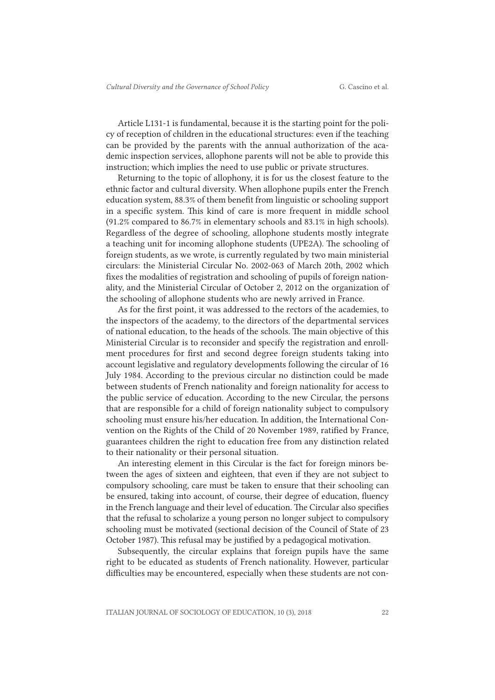Article L131-1 is fundamental, because it is the starting point for the policy of reception of children in the educational structures: even if the teaching can be provided by the parents with the annual authorization of the academic inspection services, allophone parents will not be able to provide this instruction; which implies the need to use public or private structures.

Returning to the topic of allophony, it is for us the closest feature to the ethnic factor and cultural diversity. When allophone pupils enter the French education system, 88.3% of them benefit from linguistic or schooling support in a specific system. This kind of care is more frequent in middle school (91.2% compared to 86.7% in elementary schools and 83.1% in high schools). Regardless of the degree of schooling, allophone students mostly integrate a teaching unit for incoming allophone students (UPE2A). The schooling of foreign students, as we wrote, is currently regulated by two main ministerial circulars: the Ministerial Circular No. 2002-063 of March 20th, 2002 which fixes the modalities of registration and schooling of pupils of foreign nationality, and the Ministerial Circular of October 2, 2012 on the organization of the schooling of allophone students who are newly arrived in France.

As for the first point, it was addressed to the rectors of the academies, to the inspectors of the academy, to the directors of the departmental services of national education, to the heads of the schools. The main objective of this Ministerial Circular is to reconsider and specify the registration and enrollment procedures for first and second degree foreign students taking into account legislative and regulatory developments following the circular of 16 July 1984. According to the previous circular no distinction could be made between students of French nationality and foreign nationality for access to the public service of education. According to the new Circular, the persons that are responsible for a child of foreign nationality subject to compulsory schooling must ensure his/her education. In addition, the International Convention on the Rights of the Child of 20 November 1989, ratified by France, guarantees children the right to education free from any distinction related to their nationality or their personal situation.

An interesting element in this Circular is the fact for foreign minors between the ages of sixteen and eighteen, that even if they are not subject to compulsory schooling, care must be taken to ensure that their schooling can be ensured, taking into account, of course, their degree of education, fluency in the French language and their level of education. The Circular also specifies that the refusal to scholarize a young person no longer subject to compulsory schooling must be motivated (sectional decision of the Council of State of 23 October 1987). This refusal may be justified by a pedagogical motivation.

Subsequently, the circular explains that foreign pupils have the same right to be educated as students of French nationality. However, particular difficulties may be encountered, especially when these students are not con-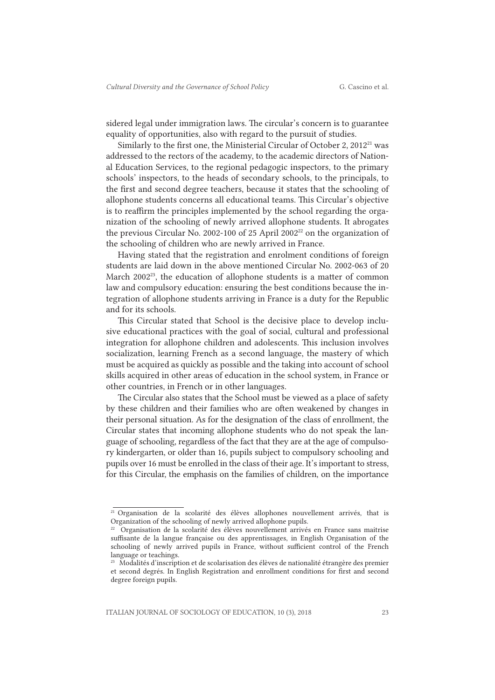sidered legal under immigration laws. The circular's concern is to guarantee equality of opportunities, also with regard to the pursuit of studies.

Similarly to the first one, the Ministerial Circular of October 2, 2012<sup>21</sup> was addressed to the rectors of the academy, to the academic directors of National Education Services, to the regional pedagogic inspectors, to the primary schools' inspectors, to the heads of secondary schools, to the principals, to the first and second degree teachers, because it states that the schooling of allophone students concerns all educational teams. This Circular's objective is to reaffirm the principles implemented by the school regarding the organization of the schooling of newly arrived allophone students. It abrogates the previous Circular No. 2002-100 of 25 April 2002<sup>22</sup> on the organization of the schooling of children who are newly arrived in France.

Having stated that the registration and enrolment conditions of foreign students are laid down in the above mentioned Circular No. 2002-063 of 20 March 200223, the education of allophone students is a matter of common law and compulsory education: ensuring the best conditions because the integration of allophone students arriving in France is a duty for the Republic and for its schools.

This Circular stated that School is the decisive place to develop inclusive educational practices with the goal of social, cultural and professional integration for allophone children and adolescents. This inclusion involves socialization, learning French as a second language, the mastery of which must be acquired as quickly as possible and the taking into account of school skills acquired in other areas of education in the school system, in France or other countries, in French or in other languages.

The Circular also states that the School must be viewed as a place of safety by these children and their families who are often weakened by changes in their personal situation. As for the designation of the class of enrollment, the Circular states that incoming allophone students who do not speak the language of schooling, regardless of the fact that they are at the age of compulsory kindergarten, or older than 16, pupils subject to compulsory schooling and pupils over 16 must be enrolled in the class of their age. It's important to stress, for this Circular, the emphasis on the families of children, on the importance

<sup>&</sup>lt;sup>21</sup> Organisation de la scolarité des élèves allophones nouvellement arrivés, that is Organization of the schooling of newly arrived allophone pupils.

<sup>22</sup> Organisation de la scolarité des élèves nouvellement arrivés en France sans maitrise suffisante de la langue française ou des apprentissages, in English Organisation of the schooling of newly arrived pupils in France, without sufficient control of the French language or teachings.

<sup>23</sup> Modalités d'inscription et de scolarisation des élèves de nationalité étrangère des premier et second degrés. In English Registration and enrollment conditions for first and second degree foreign pupils.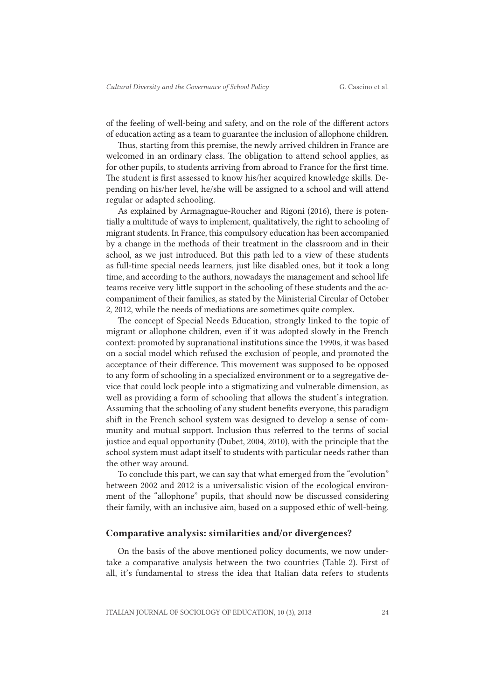of the feeling of well-being and safety, and on the role of the different actors of education acting as a team to guarantee the inclusion of allophone children.

Thus, starting from this premise, the newly arrived children in France are welcomed in an ordinary class. The obligation to attend school applies, as for other pupils, to students arriving from abroad to France for the first time. The student is first assessed to know his/her acquired knowledge skills. Depending on his/her level, he/she will be assigned to a school and will attend regular or adapted schooling.

As explained by Armagnague-Roucher and Rigoni (2016), there is potentially a multitude of ways to implement, qualitatively, the right to schooling of migrant students. In France, this compulsory education has been accompanied by a change in the methods of their treatment in the classroom and in their school, as we just introduced. But this path led to a view of these students as full-time special needs learners, just like disabled ones, but it took a long time, and according to the authors, nowadays the management and school life teams receive very little support in the schooling of these students and the accompaniment of their families, as stated by the Ministerial Circular of October 2, 2012, while the needs of mediations are sometimes quite complex.

The concept of Special Needs Education, strongly linked to the topic of migrant or allophone children, even if it was adopted slowly in the French context: promoted by supranational institutions since the 1990s, it was based on a social model which refused the exclusion of people, and promoted the acceptance of their difference. This movement was supposed to be opposed to any form of schooling in a specialized environment or to a segregative device that could lock people into a stigmatizing and vulnerable dimension, as well as providing a form of schooling that allows the student's integration. Assuming that the schooling of any student benefits everyone, this paradigm shift in the French school system was designed to develop a sense of community and mutual support. Inclusion thus referred to the terms of social justice and equal opportunity (Dubet, 2004, 2010), with the principle that the school system must adapt itself to students with particular needs rather than the other way around.

To conclude this part, we can say that what emerged from the "evolution" between 2002 and 2012 is a universalistic vision of the ecological environment of the "allophone" pupils, that should now be discussed considering their family, with an inclusive aim, based on a supposed ethic of well-being.

#### Comparative analysis: similarities and/or divergences?

On the basis of the above mentioned policy documents, we now undertake a comparative analysis between the two countries (Table 2). First of all, it's fundamental to stress the idea that Italian data refers to students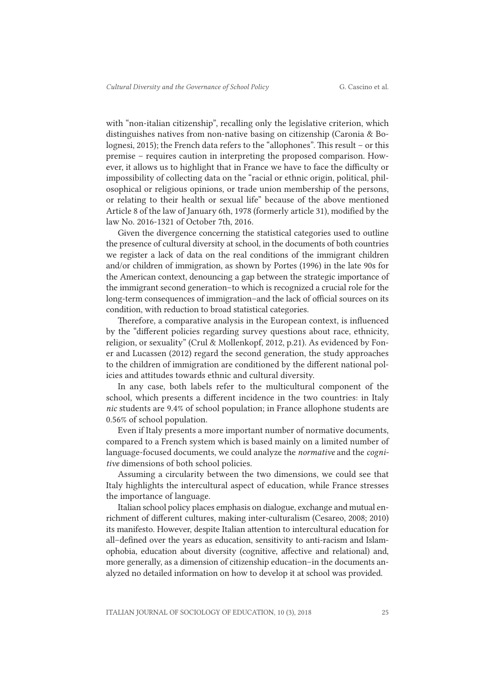with "non-italian citizenship", recalling only the legislative criterion, which distinguishes natives from non-native basing on citizenship (Caronia & Bolognesi, 2015); the French data refers to the "allophones". This result – or this premise – requires caution in interpreting the proposed comparison. However, it allows us to highlight that in France we have to face the difficulty or impossibility of collecting data on the "racial or ethnic origin, political, philosophical or religious opinions, or trade union membership of the persons, or relating to their health or sexual life" because of the above mentioned Article 8 of the law of January 6th, 1978 (formerly article 31), modified by the law No. 2016-1321 of October 7th, 2016.

Given the divergence concerning the statistical categories used to outline the presence of cultural diversity at school, in the documents of both countries we register a lack of data on the real conditions of the immigrant children and/or children of immigration, as shown by Portes (1996) in the late 90s for the American context, denouncing a gap between the strategic importance of the immigrant second generation–to which is recognized a crucial role for the long-term consequences of immigration–and the lack of official sources on its condition, with reduction to broad statistical categories.

Therefore, a comparative analysis in the European context, is influenced by the "different policies regarding survey questions about race, ethnicity, religion, or sexuality" (Crul & Mollenkopf, 2012, p.21). As evidenced by Foner and Lucassen (2012) regard the second generation, the study approaches to the children of immigration are conditioned by the different national policies and attitudes towards ethnic and cultural diversity.

In any case, both labels refer to the multicultural component of the school, which presents a different incidence in the two countries: in Italy *nic* students are 9.4% of school population; in France allophone students are 0.56% of school population.

Even if Italy presents a more important number of normative documents, compared to a French system which is based mainly on a limited number of language-focused documents, we could analyze the *normative* and the *cognitive* dimensions of both school policies.

Assuming a circularity between the two dimensions, we could see that Italy highlights the intercultural aspect of education, while France stresses the importance of language.

Italian school policy places emphasis on dialogue, exchange and mutual enrichment of different cultures, making inter-culturalism (Cesareo, 2008; 2010) its manifesto. However, despite Italian attention to intercultural education for all–defined over the years as education, sensitivity to anti-racism and Islamophobia, education about diversity (cognitive, affective and relational) and, more generally, as a dimension of citizenship education–in the documents analyzed no detailed information on how to develop it at school was provided.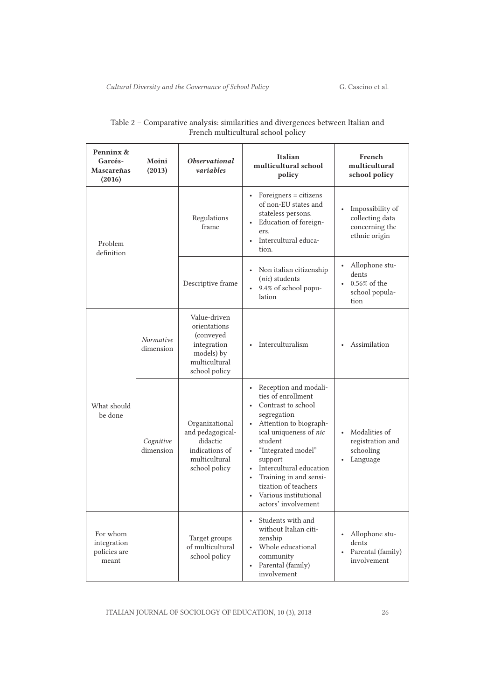| Penninx &<br>Garcés-<br>Mascareñas<br>(2016)     | Moini<br>(2013)        | <i><b>Observational</b></i><br>variables                                                                  | Italian<br>multicultural school<br>policy                                                                                                                                                                                                                                                                                                     | French<br>multicultural<br>school policy                                              |
|--------------------------------------------------|------------------------|-----------------------------------------------------------------------------------------------------------|-----------------------------------------------------------------------------------------------------------------------------------------------------------------------------------------------------------------------------------------------------------------------------------------------------------------------------------------------|---------------------------------------------------------------------------------------|
| Problem<br>definition                            |                        | Regulations<br>frame                                                                                      | Foreigners = citizens<br>of non-EU states and<br>stateless persons.<br>Education of foreign-<br>ers.<br>• Intercultural educa-<br>tion.                                                                                                                                                                                                       | Impossibility of<br>$\bullet$<br>collecting data<br>concerning the<br>ethnic origin   |
|                                                  |                        | Descriptive frame                                                                                         | Non italian citizenship<br>(nic) students<br>9.4% of school popu-<br>lation                                                                                                                                                                                                                                                                   | Allophone stu-<br>dents<br>0.56% of the<br>school popula-<br>tion                     |
| What should<br>be done                           | Normative<br>dimension | Value-driven<br>orientations<br>(conveyed)<br>integration<br>models) by<br>multicultural<br>school policy | Interculturalism<br>$\bullet$                                                                                                                                                                                                                                                                                                                 | Assimilation                                                                          |
|                                                  | Cognitive<br>dimension | Organizational<br>and pedagogical-<br>didactic<br>indications of<br>multicultural<br>school policy        | Reception and modali-<br>$\bullet$<br>ties of enrollment<br>• Contrast to school<br>segregation<br>• Attention to biograph-<br>ical uniqueness of nic<br>student<br>"Integrated model"<br>support<br>Intercultural education<br>Training in and sensi-<br>$\bullet$<br>tization of teachers<br>• Various institutional<br>actors' involvement | Modalities of<br>registration and<br>schooling<br>Language                            |
| For whom<br>integration<br>policies are<br>meant |                        | Target groups<br>of multicultural<br>school policy                                                        | Students with and<br>$\bullet$<br>without Italian citi-<br>zenship<br>• Whole educational<br>community<br>• Parental (family)<br>involvement                                                                                                                                                                                                  | Allophone stu-<br>$\bullet$<br>dents<br>Parental (family)<br>$\bullet$<br>involvement |

## Table 2 – Comparative analysis: similarities and divergences between Italian and French multicultural school policy

ITALIAN JOURNAL OF SOCIOLOGY OF EDUCATION, 10 (3), 2018 26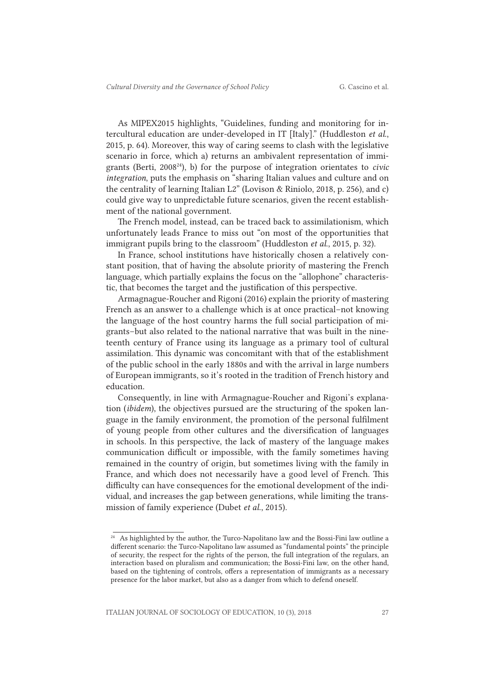As MIPEX2015 highlights, "Guidelines, funding and monitoring for intercultural education are under-developed in IT [Italy]." (Huddleston *et al*., 2015, p. 64). Moreover, this way of caring seems to clash with the legislative scenario in force, which a) returns an ambivalent representation of immigrants (Berti, 200824), b) for the purpose of integration orientates to *civic integration*, puts the emphasis on "sharing Italian values and culture and on the centrality of learning Italian L2" (Lovison & Riniolo, 2018, p. 256), and c) could give way to unpredictable future scenarios, given the recent establishment of the national government.

The French model, instead, can be traced back to assimilationism, which unfortunately leads France to miss out "on most of the opportunities that immigrant pupils bring to the classroom" (Huddleston *et al*., 2015, p. 32).

In France, school institutions have historically chosen a relatively constant position, that of having the absolute priority of mastering the French language, which partially explains the focus on the "allophone" characteristic, that becomes the target and the justification of this perspective.

Armagnague-Roucher and Rigoni (2016) explain the priority of mastering French as an answer to a challenge which is at once practical–not knowing the language of the host country harms the full social participation of migrants–but also related to the national narrative that was built in the nineteenth century of France using its language as a primary tool of cultural assimilation. This dynamic was concomitant with that of the establishment of the public school in the early 1880s and with the arrival in large numbers of European immigrants, so it's rooted in the tradition of French history and education.

Consequently, in line with Armagnague-Roucher and Rigoni's explanation (*ibidem*), the objectives pursued are the structuring of the spoken language in the family environment, the promotion of the personal fulfilment of young people from other cultures and the diversification of languages in schools. In this perspective, the lack of mastery of the language makes communication difficult or impossible, with the family sometimes having remained in the country of origin, but sometimes living with the family in France, and which does not necessarily have a good level of French. This difficulty can have consequences for the emotional development of the individual, and increases the gap between generations, while limiting the transmission of family experience (Dubet *et al*., 2015).

 $^{24}\,$  As highlighted by the author, the Turco-Napolitano law and the Bossi-Fini law outline a different scenario: the Turco-Napolitano law assumed as "fundamental points" the principle of security, the respect for the rights of the person, the full integration of the regulars, an interaction based on pluralism and communication; the Bossi-Fini law, on the other hand, based on the tightening of controls, offers a representation of immigrants as a necessary presence for the labor market, but also as a danger from which to defend oneself.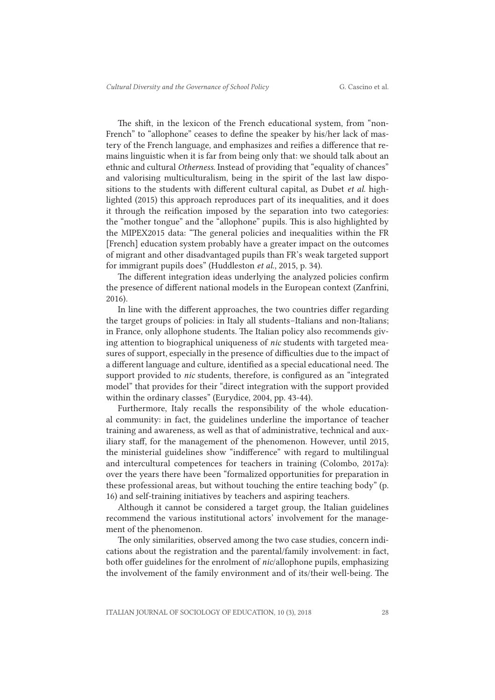The shift, in the lexicon of the French educational system, from "non-French" to "allophone" ceases to define the speaker by his/her lack of mastery of the French language, and emphasizes and reifies a difference that remains linguistic when it is far from being only that: we should talk about an ethnic and cultural *Otherness*. Instead of providing that "equality of chances" and valorising multiculturalism, being in the spirit of the last law dispositions to the students with different cultural capital, as Dubet *et al*. highlighted (2015) this approach reproduces part of its inequalities, and it does it through the reification imposed by the separation into two categories: the "mother tongue" and the "allophone" pupils. This is also highlighted by the MIPEX2015 data: "The general policies and inequalities within the FR [French] education system probably have a greater impact on the outcomes of migrant and other disadvantaged pupils than FR's weak targeted support for immigrant pupils does" (Huddleston *et al*., 2015, p. 34).

The different integration ideas underlying the analyzed policies confirm the presence of different national models in the European context (Zanfrini, 2016).

In line with the different approaches, the two countries differ regarding the target groups of policies: in Italy all students–Italians and non-Italians; in France, only allophone students. The Italian policy also recommends giving attention to biographical uniqueness of *nic* students with targeted measures of support, especially in the presence of difficulties due to the impact of a different language and culture, identified as a special educational need. The support provided to *nic* students, therefore, is configured as an "integrated model" that provides for their "direct integration with the support provided within the ordinary classes" (Eurydice, 2004, pp. 43-44).

Furthermore, Italy recalls the responsibility of the whole educational community: in fact, the guidelines underline the importance of teacher training and awareness, as well as that of administrative, technical and auxiliary staff, for the management of the phenomenon. However, until 2015, the ministerial guidelines show "indifference" with regard to multilingual and intercultural competences for teachers in training (Colombo, 2017a): over the years there have been "formalized opportunities for preparation in these professional areas, but without touching the entire teaching body" (p. 16) and self-training initiatives by teachers and aspiring teachers.

Although it cannot be considered a target group, the Italian guidelines recommend the various institutional actors' involvement for the management of the phenomenon.

The only similarities, observed among the two case studies, concern indications about the registration and the parental/family involvement: in fact, both offer guidelines for the enrolment of *nic*/allophone pupils, emphasizing the involvement of the family environment and of its/their well-being. The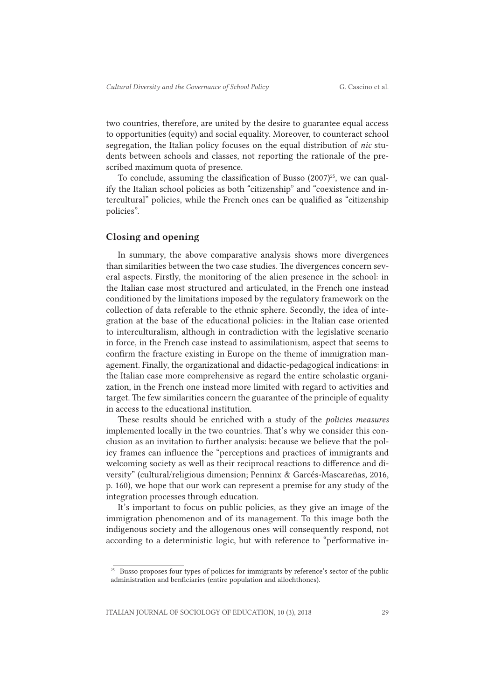two countries, therefore, are united by the desire to guarantee equal access to opportunities (equity) and social equality. Moreover, to counteract school segregation, the Italian policy focuses on the equal distribution of *nic* students between schools and classes, not reporting the rationale of the prescribed maximum quota of presence.

To conclude, assuming the classification of Busso  $(2007)^{25}$ , we can qualify the Italian school policies as both "citizenship" and "coexistence and intercultural" policies, while the French ones can be qualified as "citizenship policies".

#### Closing and opening

In summary, the above comparative analysis shows more divergences than similarities between the two case studies. The divergences concern several aspects. Firstly, the monitoring of the alien presence in the school: in the Italian case most structured and articulated, in the French one instead conditioned by the limitations imposed by the regulatory framework on the collection of data referable to the ethnic sphere. Secondly, the idea of integration at the base of the educational policies: in the Italian case oriented to interculturalism, although in contradiction with the legislative scenario in force, in the French case instead to assimilationism, aspect that seems to confirm the fracture existing in Europe on the theme of immigration management. Finally, the organizational and didactic-pedagogical indications: in the Italian case more comprehensive as regard the entire scholastic organization, in the French one instead more limited with regard to activities and target. The few similarities concern the guarantee of the principle of equality in access to the educational institution.

These results should be enriched with a study of the *policies measures* implemented locally in the two countries. That's why we consider this conclusion as an invitation to further analysis: because we believe that the policy frames can influence the "perceptions and practices of immigrants and welcoming society as well as their reciprocal reactions to difference and diversity" (cultural/religious dimension; Penninx & Garcés-Mascareñas, 2016, p. 160), we hope that our work can represent a premise for any study of the integration processes through education.

It's important to focus on public policies, as they give an image of the immigration phenomenon and of its management. To this image both the indigenous society and the allogenous ones will consequently respond, not according to a deterministic logic, but with reference to "performative in-

<sup>&</sup>lt;sup>25</sup> Busso proposes four types of policies for immigrants by reference's sector of the public administration and benficiaries (entire population and allochthones).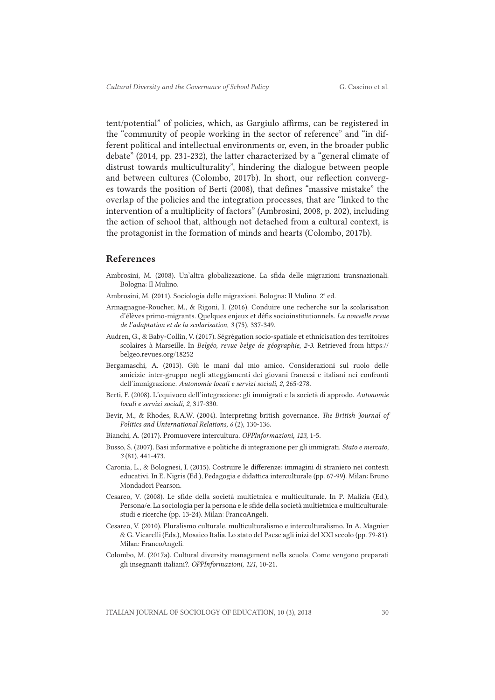tent/potential" of policies, which, as Gargiulo affirms, can be registered in the "community of people working in the sector of reference" and "in different political and intellectual environments or, even, in the broader public debate" (2014, pp. 231-232), the latter characterized by a "general climate of distrust towards multiculturality", hindering the dialogue between people and between cultures (Colombo, 2017b). In short, our reflection converges towards the position of Berti (2008), that defines "massive mistake" the overlap of the policies and the integration processes, that are "linked to the intervention of a multiplicity of factors" (Ambrosini, 2008, p. 202), including the action of school that, although not detached from a cultural context, is the protagonist in the formation of minds and hearts (Colombo, 2017b).

#### References

- Ambrosini, M. (2008). Un'altra globalizzazione. La sfida delle migrazioni transnazionali. Bologna: Il Mulino.
- Ambrosini, M. (2011). Sociologia delle migrazioni. Bologna: Il Mulino. 2° ed.
- Armagnague-Roucher, M., & Rigoni, I. (2016). Conduire une recherche sur la scolarisation d'élèves primo-migrants. Quelques enjeux et défis socioinstitutionnels. *La nouvelle revue de l'adaptation et de la scolarisation, 3* (75), 337-349.
- Audren, G., & Baby-Collin, V. (2017). Ségrégation socio-spatiale et ethnicisation des territoires scolaires à Marseille. In *Belgéo, revue belge de géographie*, *2-3*. Retrieved from https:// belgeo.revues.org/18252
- Bergamaschi, A. (2013). Giù le mani dal mio amico. Considerazioni sul ruolo delle amicizie inter-gruppo negli atteggiamenti dei giovani francesi e italiani nei confronti dell'immigrazione. *Autonomie locali e servizi sociali, 2*, 265-278.
- Berti, F. (2008). L'equivoco dell'integrazione: gli immigrati e la società di approdo. *Autonomie locali e servizi sociali, 2*, 317-330.
- Bevir, M., & Rhodes, R.A.W. (2004). Interpreting british governance. *The British Journal of Politics and Unternational Relations, 6* (2), 130-136.
- Bianchi, A. (2017). Promuovere intercultura. *OPPInformazioni, 123,* 1-5.
- Busso, S. (2007). Basi informative e politiche di integrazione per gli immigrati. *Stato e mercato, 3* (81), 441-473.
- Caronia, L., & Bolognesi, I. (2015). Costruire le differenze: immagini di straniero nei contesti educativi. In E. Nigris (Ed.), Pedagogia e didattica interculturale (pp. 67-99). Milan: Bruno Mondadori Pearson.
- Cesareo, V. (2008). Le sfide della società multietnica e multiculturale. In P. Malizia (Ed.), Persona/e. La sociologia per la persona e le sfide della società multietnica e multiculturale: studi e ricerche (pp. 13-24). Milan: FrancoAngeli.
- Cesareo, V. (2010). Pluralismo culturale, multiculturalismo e interculturalismo. In A. Magnier & G. Vicarelli (Eds.), Mosaico Italia. Lo stato del Paese agli inizi del XXI secolo (pp. 79-81). Milan: FrancoAngeli.
- Colombo, M. (2017a). Cultural diversity management nella scuola. Come vengono preparati gli insegnanti italiani?. *OPPInformazioni, 121,* 10-21.

ITALIAN JOURNAL OF SOCIOLOGY OF EDUCATION, 10 (3), 2018 30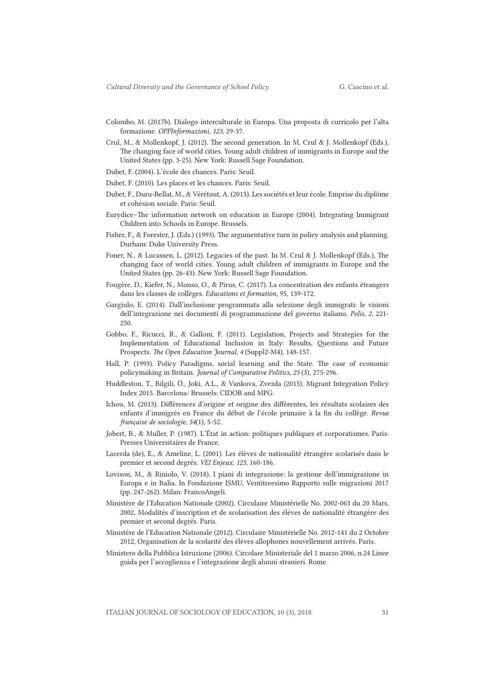- Colombo, M. (2017b). Dialogo interculturale in Europa. Una proposta di curricolo per l'alta formazione. *OPPInformazioni, 123,* 29-37.
- Crul, M., & Mollenkopf, J. (2012). The second generation. In M. Crul & J. Mollenkopf (Eds.), The changing face of world cities. Young adult children of immigrants in Europe and the United States (pp. 3-25). New York: Russell Sage Foundation.
- Dubet, F. (2004). L'école des chances. Paris: Seuil.
- Dubet, F. (2010). Les places et les chances. Paris: Seuil.
- Dubet, F., Duru-Bellat, M., & Vérétout, A. (2015). Les sociétés et leur école. Emprise du diplôme et cohésion sociale. Paris: Seuil.
- Eurydice–The information network on education in Europe (2004). Integrating Immigrant Children into Schools in Europe. Brussels.
- Fisher, F., & Forester, J. (Eds.) (1993). The argumentative turn in policy analysis and planning. Durham: Duke University Press.
- Foner, N., & Lucassen, L. (2012). Legacies of the past. In M. Crul & J. Mollenkopf (Eds.), The changing face of world cities. Young adult children of immigrants in Europe and the United States (pp. 26-43). New York: Russell Sage Foundation.
- Fougère, D., Kiefer, N., Monso, O., & Pirus, C. (2017). La concentration des enfants étrangers dans les classes de collèges. *Educations et formation*, 95, 139-172.
- Gargiulo, E. (2014). Dall'inclusione programmata alla selezione degli immigrati: le visioni dell'integrazione nei documenti di programmazione del governo italiano. *Polis, 2,* 221- 250.
- Gobbo, F., Ricucci, R., & Galloni, F. (2011). Legislation, Projects and Strategies for the Implementation of Educational Inclusion in Italy: Results, Questions and Future Prospects. *The Open Education Journal, 4* (Suppl2-M4), 148-157.
- Hall, P. (1993). Policy Paradigms, social learning and the State. The case of economic policymaking in Britain. *Journal of Comparative Politics, 25* (3), 275-296.
- Huddleston, T., Bilgili, Ö., Joki, A.L., & Vankova, Zvezda (2015). Migrant Integration Policy Index 2015. Barcelona/ Brussels: CIDOB and MPG.
- Ichou, M. (2013). Différences d'origine et origine des différentes, les résultats scolaires des enfants d'immigrés en France du début de l'école primaire à la fin du collège. *Revue française de sociologie*, *54*(1), 5-52.
- Jobert, B., & Muller, P. (1987). L'État in action: politiques publiques et corporatismes. Paris: Presses Universitaires de France.
- Lacerda (de), E., & Ameline, L. (2001). Les élèves de nationalité étrangère scolarisés dans le premier et second degrés. *VEI Enjeux, 125*, 160-186.
- Lovison, M., & Riniolo, V. (2018). I piani di integrazione: la gestione dell'immigrazione in Europa e in Italia. In Fondazione ISMU, Ventitreesimo Rapporto sulle migrazioni 2017 (pp. 247-262). Milan: FrancoAngeli.
- Ministère de l'Education Nationale (2002). Circulaire Ministérielle No. 2002-063 du 20 Mars, 2002, Modalités d'inscription et de scolarisation des éléves de nationalité étrangère des premier et second degrés. Paris.
- Ministère de l'Education Nationale (2012). Circulaire Ministérielle No. 2012-141 du 2 Octobre 2012, Organisation de la scolarité des élèves allophones nouvellement arrivés. Paris.
- Ministero della Pubblica Istruzione (2006). Circolare Ministeriale del 1 marzo 2006, n.24 Linee guida per l'accoglienza e l'integrazione degli alunni stranieri. Rome.

ITALIAN JOURNAL OF SOCIOLOGY OF EDUCATION, 10 (3), 2018 31